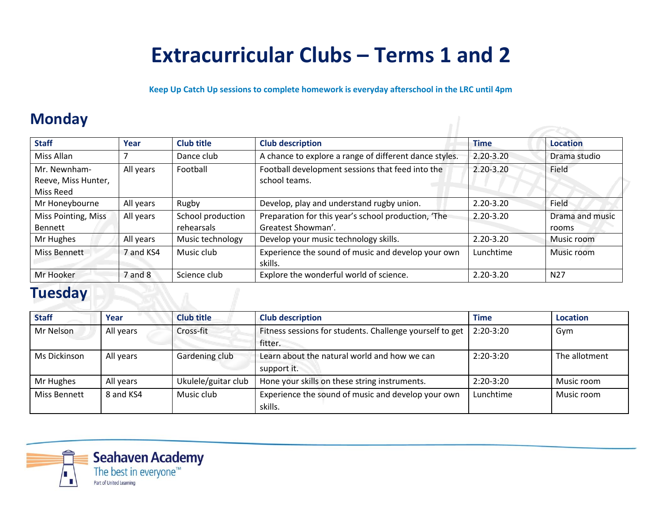# **Extracurricular Clubs – Terms 1 and 2**

**Keep Up Catch Up sessions to complete homework is everyday afterschool in the LRC until 4pm**

# **Monday**

| <b>Staff</b>                                     | Year      | <b>Club title</b>               | <b>Club description</b>                                                   | <b>Time</b>   | <b>Location</b>          |
|--------------------------------------------------|-----------|---------------------------------|---------------------------------------------------------------------------|---------------|--------------------------|
| Miss Allan                                       |           | Dance club                      | A chance to explore a range of different dance styles.                    | 2.20-3.20     | Drama studio             |
| Mr. Newnham-<br>Reeve, Miss Hunter,<br>Miss Reed | All years | Football                        | Football development sessions that feed into the<br>school teams.         | $2.20 - 3.20$ | Field                    |
| Mr Honeybourne                                   | All years | Rugby                           | Develop, play and understand rugby union.                                 | 2.20-3.20     | Field                    |
| Miss Pointing, Miss<br><b>Bennett</b>            | All years | School production<br>rehearsals | Preparation for this year's school production, 'The<br>Greatest Showman'. | $2.20 - 3.20$ | Drama and music<br>rooms |
| Mr Hughes                                        | All years | Music technology                | Develop your music technology skills.                                     | 2.20-3.20     | Music room               |
| Miss Bennett                                     | 7 and KS4 | Music club                      | Experience the sound of music and develop your own<br>skills.             | Lunchtime     | Music room               |
| Mr Hooker                                        | 7 and 8   | Science club                    | Explore the wonderful world of science.                                   | 2.20-3.20     | N <sub>27</sub>          |

### **Tuesday**

| <b>Staff</b>        | Year      | <b>Club title</b>   | <b>Club description</b>                                             | <b>Time</b> | <b>Location</b> |
|---------------------|-----------|---------------------|---------------------------------------------------------------------|-------------|-----------------|
| Mr Nelson           | All years | Cross-fit           | Fitness sessions for students. Challenge yourself to get<br>fitter. | 2:20-3:20   | Gym             |
| Ms Dickinson        | All years | Gardening club      | Learn about the natural world and how we can<br>support it.         | $2:20-3:20$ | The allotment   |
| Mr Hughes           | All years | Ukulele/guitar club | Hone your skills on these string instruments.                       | $2:20-3:20$ | Music room      |
| <b>Miss Bennett</b> | 8 and KS4 | Music club          | Experience the sound of music and develop your own<br>skills.       | Lunchtime   | Music room      |